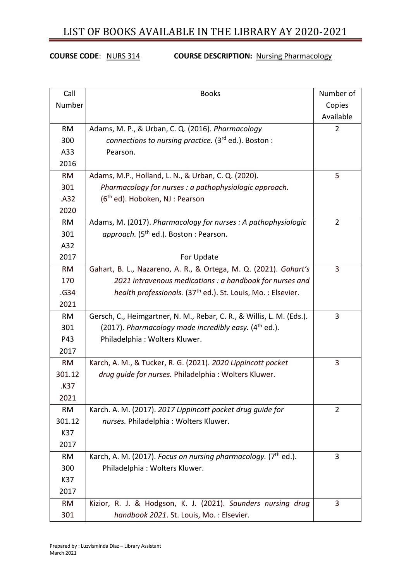#### **COURSE CODE**: NURS 314 **COURSE DESCRIPTION:** Nursing Pharmacology

| Call      | <b>Books</b>                                                               | Number of      |
|-----------|----------------------------------------------------------------------------|----------------|
| Number    |                                                                            | Copies         |
|           |                                                                            | Available      |
| <b>RM</b> | Adams, M. P., & Urban, C. Q. (2016). Pharmacology                          | $\overline{2}$ |
| 300       | connections to nursing practice. (3rd ed.). Boston :                       |                |
| A33       | Pearson.                                                                   |                |
| 2016      |                                                                            |                |
| RM        | Adams, M.P., Holland, L. N., & Urban, C. Q. (2020).                        | 5              |
| 301       | Pharmacology for nurses : a pathophysiologic approach.                     |                |
| .A32      | $(6th$ ed). Hoboken, NJ : Pearson                                          |                |
| 2020      |                                                                            |                |
| <b>RM</b> | Adams, M. (2017). Pharmacology for nurses: A pathophysiologic              | $\overline{2}$ |
| 301       | approach. (5 <sup>th</sup> ed.). Boston : Pearson.                         |                |
| A32       |                                                                            |                |
| 2017      | For Update                                                                 |                |
| <b>RM</b> | Gahart, B. L., Nazareno, A. R., & Ortega, M. Q. (2021). Gahart's           | 3              |
| 170       | 2021 intravenous medications : a handbook for nurses and                   |                |
| .G34      | health professionals. (37 <sup>th</sup> ed.). St. Louis, Mo.: Elsevier.    |                |
| 2021      |                                                                            |                |
| <b>RM</b> | Gersch, C., Heimgartner, N. M., Rebar, C. R., & Willis, L. M. (Eds.).      | 3              |
| 301       | (2017). Pharmacology made incredibly easy. $(4th$ ed.).                    |                |
| P43       | Philadelphia: Wolters Kluwer.                                              |                |
| 2017      |                                                                            |                |
| <b>RM</b> | Karch, A. M., & Tucker, R. G. (2021). 2020 Lippincott pocket               | 3              |
| 301.12    | drug quide for nurses. Philadelphia : Wolters Kluwer.                      |                |
| .K37      |                                                                            |                |
| 2021      |                                                                            |                |
| RM        | Karch. A. M. (2017). 2017 Lippincott pocket drug guide for                 | $\overline{2}$ |
| 301.12    | nurses. Philadelphia: Wolters Kluwer.                                      |                |
| K37       |                                                                            |                |
| 2017      |                                                                            |                |
| RM        | Karch, A. M. (2017). Focus on nursing pharmacology. (7 <sup>th</sup> ed.). | 3              |
| 300       | Philadelphia: Wolters Kluwer.                                              |                |
| K37       |                                                                            |                |
| 2017      |                                                                            |                |
| <b>RM</b> | Kizior, R. J. & Hodgson, K. J. (2021). Saunders nursing drug               | 3              |
| 301       | handbook 2021. St. Louis, Mo.: Elsevier.                                   |                |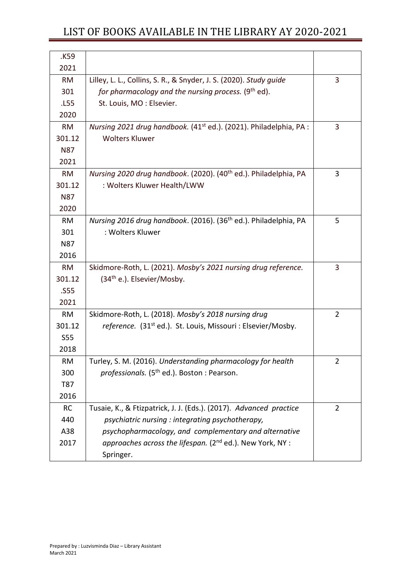| K59.       |                                                                                |                |
|------------|--------------------------------------------------------------------------------|----------------|
| 2021       |                                                                                |                |
| <b>RM</b>  | Lilley, L. L., Collins, S. R., & Snyder, J. S. (2020). Study guide             | 3              |
| 301        | for pharmacology and the nursing process. (9 <sup>th</sup> ed).                |                |
| .L55       | St. Louis, MO: Elsevier.                                                       |                |
| 2020       |                                                                                |                |
| <b>RM</b>  | Nursing 2021 drug handbook. (41 <sup>st</sup> ed.). (2021). Philadelphia, PA : | 3              |
| 301.12     | <b>Wolters Kluwer</b>                                                          |                |
| <b>N87</b> |                                                                                |                |
| 2021       |                                                                                |                |
| <b>RM</b>  | Nursing 2020 drug handbook. (2020). (40 <sup>th</sup> ed.). Philadelphia, PA   | 3              |
| 301.12     | : Wolters Kluwer Health/LWW                                                    |                |
| <b>N87</b> |                                                                                |                |
| 2020       |                                                                                |                |
| <b>RM</b>  | Nursing 2016 drug handbook. (2016). (36 <sup>th</sup> ed.). Philadelphia, PA   | 5              |
| 301        | : Wolters Kluwer                                                               |                |
| <b>N87</b> |                                                                                |                |
| 2016       |                                                                                |                |
| <b>RM</b>  | Skidmore-Roth, L. (2021). Mosby's 2021 nursing drug reference.                 | 3              |
| 301.12     | $(34th e.).$ Elsevier/Mosby.                                                   |                |
| .S55       |                                                                                |                |
| 2021       |                                                                                |                |
| <b>RM</b>  | Skidmore-Roth, L. (2018). Mosby's 2018 nursing drug                            | $\overline{2}$ |
| 301.12     | reference. (31 <sup>st</sup> ed.). St. Louis, Missouri : Elsevier/Mosby.       |                |
| <b>S55</b> |                                                                                |                |
| 2018       |                                                                                |                |
| <b>RM</b>  | Turley, S. M. (2016). Understanding pharmacology for health                    | 2              |
| 300        | professionals. (5 <sup>th</sup> ed.). Boston : Pearson.                        |                |
| T87        |                                                                                |                |
| 2016       |                                                                                |                |
| RC         | Tusaie, K., & Ftizpatrick, J. J. (Eds.). (2017). Advanced practice             | $\overline{2}$ |
| 440        | psychiatric nursing: integrating psychotherapy,                                |                |
| A38        | psychopharmacology, and complementary and alternative                          |                |
| 2017       | approaches across the lifespan. (2 <sup>nd</sup> ed.). New York, NY :          |                |
|            | Springer.                                                                      |                |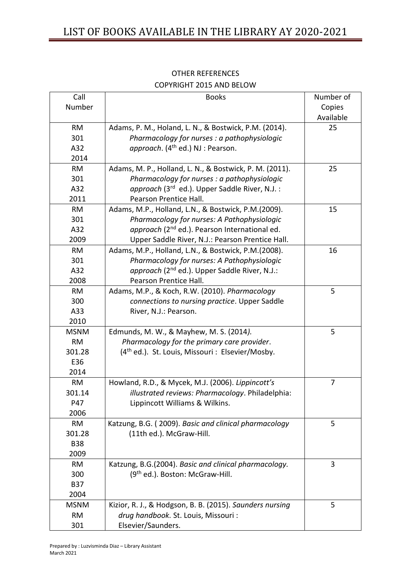| Call        | <b>Books</b>                                                 | Number of |
|-------------|--------------------------------------------------------------|-----------|
| Number      |                                                              | Copies    |
|             |                                                              | Available |
| <b>RM</b>   | Adams, P. M., Holand, L. N., & Bostwick, P.M. (2014).        | 25        |
| 301         | Pharmacology for nurses : a pathophysiologic                 |           |
| A32         | approach. (4 <sup>th</sup> ed.) NJ : Pearson.                |           |
| 2014        |                                                              |           |
| <b>RM</b>   | Adams, M. P., Holland, L. N., & Bostwick, P. M. (2011).      | 25        |
| 301         | Pharmacology for nurses : a pathophysiologic                 |           |
| A32         | approach (3rd ed.). Upper Saddle River, N.J. :               |           |
| 2011        | Pearson Prentice Hall.                                       |           |
| RM          | Adams, M.P., Holland, L.N., & Bostwick, P.M.(2009).          | 15        |
| 301         | Pharmacology for nurses: A Pathophysiologic                  |           |
| A32         | approach (2 <sup>nd</sup> ed.). Pearson International ed.    |           |
| 2009        | Upper Saddle River, N.J.: Pearson Prentice Hall.             |           |
| <b>RM</b>   | Adams, M.P., Holland, L.N., & Bostwick, P.M.(2008).          | 16        |
| 301         | Pharmacology for nurses: A Pathophysiologic                  |           |
| A32         | approach (2 <sup>nd</sup> ed.). Upper Saddle River, N.J.:    |           |
| 2008        | Pearson Prentice Hall.                                       |           |
| <b>RM</b>   | Adams, M.P., & Koch, R.W. (2010). Pharmacology               | 5         |
| 300         | connections to nursing practice. Upper Saddle                |           |
| A33         | River, N.J.: Pearson.                                        |           |
| 2010        |                                                              |           |
| <b>MSNM</b> | Edmunds, M. W., & Mayhew, M. S. (2014).                      | 5         |
| <b>RM</b>   | Pharmacology for the primary care provider.                  |           |
| 301.28      | (4 <sup>th</sup> ed.). St. Louis, Missouri : Elsevier/Mosby. |           |
| E36         |                                                              |           |
| 2014        |                                                              |           |
| <b>RM</b>   | Howland, R.D., & Mycek, M.J. (2006). Lippincott's            | 7         |
| 301.14      | illustrated reviews: Pharmacology. Philadelphia:             |           |
| P47         | Lippincott Williams & Wilkins.                               |           |
| 2006        |                                                              |           |
| <b>RM</b>   | Katzung, B.G. (2009). Basic and clinical pharmacology        | 5         |
| 301.28      | (11th ed.). McGraw-Hill.                                     |           |
| <b>B38</b>  |                                                              |           |
| 2009        |                                                              |           |
| <b>RM</b>   | Katzung, B.G.(2004). Basic and clinical pharmacology.        | 3         |
| 300         | (9 <sup>th</sup> ed.). Boston: McGraw-Hill.                  |           |
| <b>B37</b>  |                                                              |           |
| 2004        |                                                              |           |
| <b>MSNM</b> | Kizior, R. J., & Hodgson, B. B. (2015). Saunders nursing     | 5         |
| <b>RM</b>   | drug handbook. St. Louis, Missouri :                         |           |
| 301         | Elsevier/Saunders.                                           |           |
|             |                                                              |           |

### OTHER REFERENCES COPYRIGHT 2015 AND BELOW